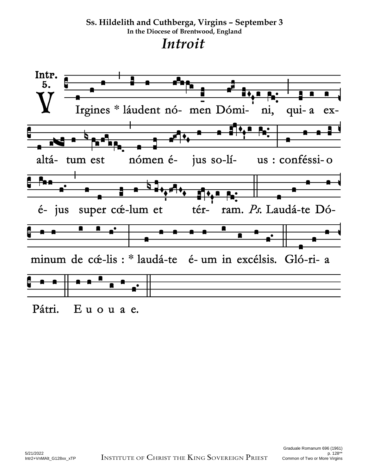**Ss. Hildelith and Cuthberga, Virgins – September 3 In the Diocese of Brentwood, England**  *Introit* 



Euouae. Pátri.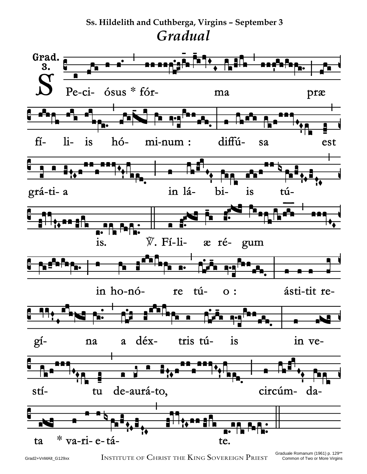## **Ss. Hildelith and Cuthberga, Virgins – September 3** *Gradual*



Grad2+VnMAlt\_G129xx INSTITUTE OF CHRIST THE KING SOVEREIGN PRIEST Common of Two or More Virgins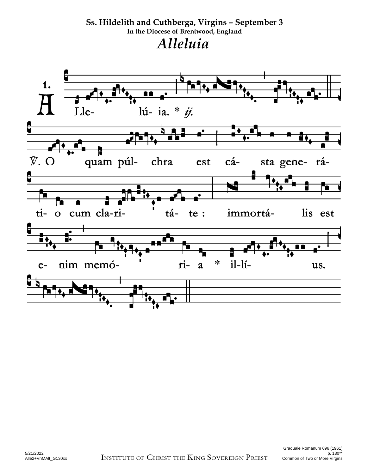**Ss. Hildelith and Cuthberga, Virgins – September 3 In the Diocese of Brentwood, England**  *Alleluia* 

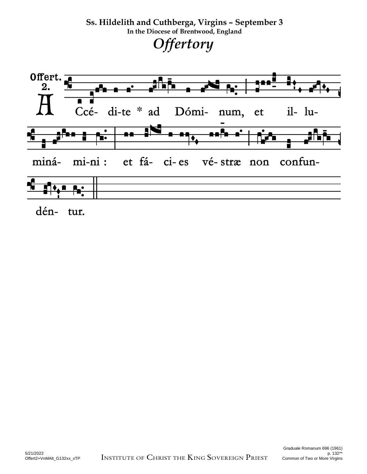**Ss. Hildelith and Cuthberga, Virgins – September 3 In the Diocese of Brentwood, England**  *Offertory*